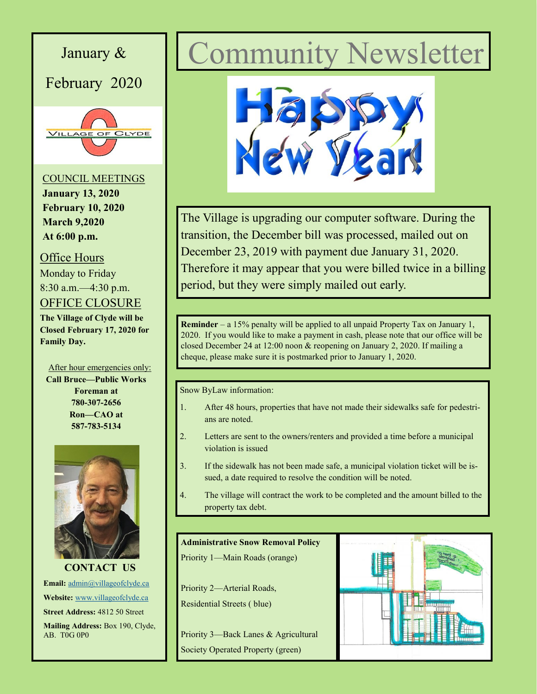

# January & Community Newsletter



The Village is upgrading our computer software. During the transition, the December bill was processed, mailed out on December 23, 2019 with payment due January 31, 2020. Therefore it may appear that you were billed twice in a billing period, but they were simply mailed out early.

**Reminder** – a 15% penalty will be applied to all unpaid Property Tax on January 1, 2020. If you would like to make a payment in cash, please note that our office will be closed December 24 at 12:00 noon & reopening on January 2, 2020. If mailing a cheque, please make sure it is postmarked prior to January 1, 2020.

Snow ByLaw information:

- 1. After 48 hours, properties that have not made their sidewalks safe for pedestrians are noted.
- 2. Letters are sent to the owners/renters and provided a time before a municipal violation is issued
- 3. If the sidewalk has not been made safe, a municipal violation ticket will be issued, a date required to resolve the condition will be noted.
- 4. The village will contract the work to be completed and the amount billed to the property tax debt.

#### **Administrative Snow Removal Policy**

Priority 1—Main Roads (orange)

Priority 2—Arterial Roads, Residential Streets ( blue)

Priority 3—Back Lanes & Agricultural Society Operated Property (green)